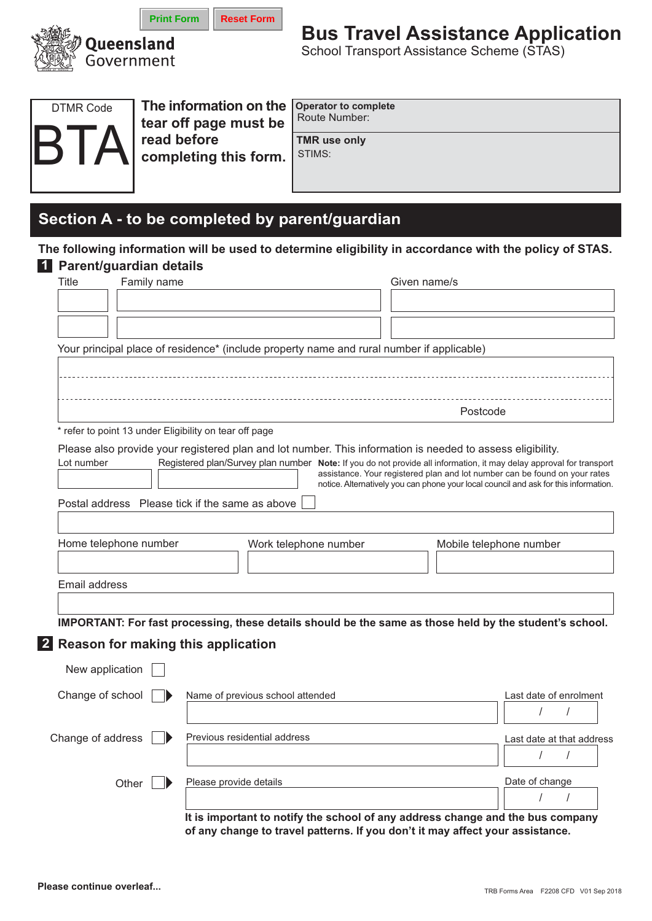

# **Bus Travel Assistance Application**

School Transport Assistance Scheme (STAS)



The information on the tear off page must be read before completing this form.

**Reset Form** 

**Operator to complete** Route Number:

**TMR** use only STIMS:

## Section A - to be completed by parent/guardian

### The following information will be used to determine eligibility in accordance with the policy of STAS. 1 Parent/guardian details

| Title             | Family name                                            |                        |                                                                                                                     | Given name/s |          |                                                                                      |  |
|-------------------|--------------------------------------------------------|------------------------|---------------------------------------------------------------------------------------------------------------------|--------------|----------|--------------------------------------------------------------------------------------|--|
|                   |                                                        |                        |                                                                                                                     |              |          |                                                                                      |  |
|                   |                                                        |                        |                                                                                                                     |              |          |                                                                                      |  |
|                   |                                                        |                        |                                                                                                                     |              |          |                                                                                      |  |
|                   |                                                        |                        | Your principal place of residence* (include property name and rural number if applicable)                           |              |          |                                                                                      |  |
|                   |                                                        |                        |                                                                                                                     |              |          |                                                                                      |  |
|                   |                                                        |                        |                                                                                                                     |              |          |                                                                                      |  |
|                   |                                                        |                        |                                                                                                                     |              | Postcode |                                                                                      |  |
|                   | * refer to point 13 under Eligibility on tear off page |                        |                                                                                                                     |              |          |                                                                                      |  |
|                   |                                                        |                        | Please also provide your registered plan and lot number. This information is needed to assess eligibility.          |              |          |                                                                                      |  |
| Lot number        |                                                        |                        | Registered plan/Survey plan number Note: If you do not provide all information, it may delay approval for transport |              |          |                                                                                      |  |
|                   |                                                        |                        |                                                                                                                     |              |          | assistance. Your registered plan and lot number can be found on your rates           |  |
|                   |                                                        |                        |                                                                                                                     |              |          | notice. Alternatively you can phone your local council and ask for this information. |  |
|                   | Postal address Please tick if the same as above        |                        |                                                                                                                     |              |          |                                                                                      |  |
|                   |                                                        |                        |                                                                                                                     |              |          |                                                                                      |  |
|                   | Home telephone number                                  |                        | Work telephone number                                                                                               |              |          | Mobile telephone number                                                              |  |
|                   |                                                        |                        |                                                                                                                     |              |          |                                                                                      |  |
| Email address     |                                                        |                        |                                                                                                                     |              |          |                                                                                      |  |
|                   |                                                        |                        |                                                                                                                     |              |          |                                                                                      |  |
|                   |                                                        |                        |                                                                                                                     |              |          |                                                                                      |  |
|                   |                                                        |                        | IMPORTANT: For fast processing, these details should be the same as those held by the student's school.             |              |          |                                                                                      |  |
|                   | Reason for making this application                     |                        |                                                                                                                     |              |          |                                                                                      |  |
| New application   |                                                        |                        |                                                                                                                     |              |          |                                                                                      |  |
|                   |                                                        |                        |                                                                                                                     |              |          |                                                                                      |  |
| Change of school  |                                                        |                        | Name of previous school attended                                                                                    |              |          | Last date of enrolment                                                               |  |
|                   |                                                        |                        |                                                                                                                     |              |          |                                                                                      |  |
| Change of address |                                                        |                        | Previous residential address                                                                                        |              |          | Last date at that address                                                            |  |
|                   |                                                        |                        |                                                                                                                     |              |          |                                                                                      |  |
|                   | Other                                                  | Please provide details |                                                                                                                     |              |          | Date of change                                                                       |  |
|                   |                                                        |                        |                                                                                                                     |              |          |                                                                                      |  |
|                   |                                                        |                        |                                                                                                                     |              |          |                                                                                      |  |

It is important to notify the school of any address change and the bus company of any change to travel patterns. If you don't it may affect your assistance.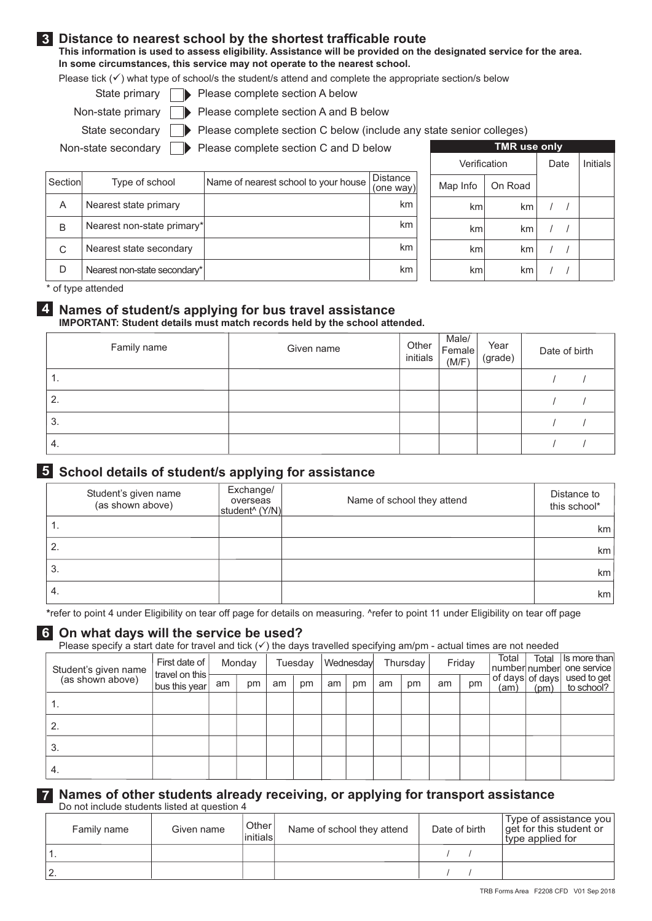### 3 Distance to nearest school by the shortest trafficable route

This information is used to assess eligibility. Assistance will be provided on the designated service for the area. In some circumstances, this service may not operate to the nearest school.

Please tick  $(\checkmark)$  what type of school/s the student/s attend and complete the appropriate section/s below

- State primary **D** Please complete section A below
- Non-state primary  $\Box$  Please complete section A and B below

State secondary Please complete section C below (include any state senior colleges)

Non-state secondary | Please complete section C and D below

| Section | Type of school               | Name of nearest school to your house | <b>Distance</b><br>(one way) |
|---------|------------------------------|--------------------------------------|------------------------------|
| A       | Nearest state primary        |                                      | km                           |
| B       | Nearest non-state primary*   |                                      | km                           |
| C       | Nearest state secondary      |                                      | km                           |
|         | Nearest non-state secondary* |                                      | km                           |

|              | <b>IMR use only</b> |          |  |
|--------------|---------------------|----------|--|
| Verification | Date                | Initials |  |
| Map Info     | On Road             |          |  |
| km           | km                  |          |  |
| km           | km                  |          |  |
| km           | km                  |          |  |
| km           | km                  |          |  |

\* of type attended

### 4. Names of student/s applying for bus travel assistance IMPORTANT: Student details must match records held by the school attended.

| Family name | Given name | Other<br>initials | Male/<br>Female<br>(M/F) | Year<br>(grade) | Date of birth |
|-------------|------------|-------------------|--------------------------|-----------------|---------------|
| ι.          |            |                   |                          |                 |               |
| 2.          |            |                   |                          |                 |               |
| 3.          |            |                   |                          |                 |               |
| 4.          |            |                   |                          |                 |               |

### 5 School details of student/s applying for assistance

|    | Student's given name<br>(as shown above) | Exchange/<br>overseas<br>student <sup>^</sup> (Y/N) | Name of school they attend | Distance to<br>this school* |
|----|------------------------------------------|-----------------------------------------------------|----------------------------|-----------------------------|
| ., |                                          |                                                     |                            | km                          |
| 2. |                                          |                                                     |                            | km                          |
| 3. |                                          |                                                     |                            | km                          |
| 4. |                                          |                                                     |                            | km <sub>2</sub>             |

\*refer to point 4 under Eligibility on tear off page for details on measuring. ^refer to point 11 under Eligibility on tear off page

### 6 On what days will the service be used?

Please specify a start date for travel and tick  $(\checkmark)$  the days travelled specifying am/pm - actual times are not needed

| Student's given name | First date of<br>travel on this |    | Monday |    | Tuesday |    | Wednesday |    | Thursday |    | Friday | Total | Total | Is more than<br> number number  one service           |
|----------------------|---------------------------------|----|--------|----|---------|----|-----------|----|----------|----|--------|-------|-------|-------------------------------------------------------|
| (as shown above)     | bus this year                   | am | pm     | am | pm      | am | pm        | am | pm       | am | pm     |       |       | of days of days used to get<br>(am) $(pm)$ to school? |
|                      |                                 |    |        |    |         |    |           |    |          |    |        |       |       |                                                       |
|                      |                                 |    |        |    |         |    |           |    |          |    |        |       |       |                                                       |
| 3.                   |                                 |    |        |    |         |    |           |    |          |    |        |       |       |                                                       |
| 4.                   |                                 |    |        |    |         |    |           |    |          |    |        |       |       |                                                       |

### 7 Names of other students already receiving, or applying for transport assistance Do not include students listed at question 4

| Family name | Given name | Other <sup>1</sup><br>linitials | Name of school they attend | Date of birth | Type of assistance you<br>get for this student or<br>type applied for |
|-------------|------------|---------------------------------|----------------------------|---------------|-----------------------------------------------------------------------|
| . .         |            |                                 |                            |               |                                                                       |
| -           |            |                                 |                            |               |                                                                       |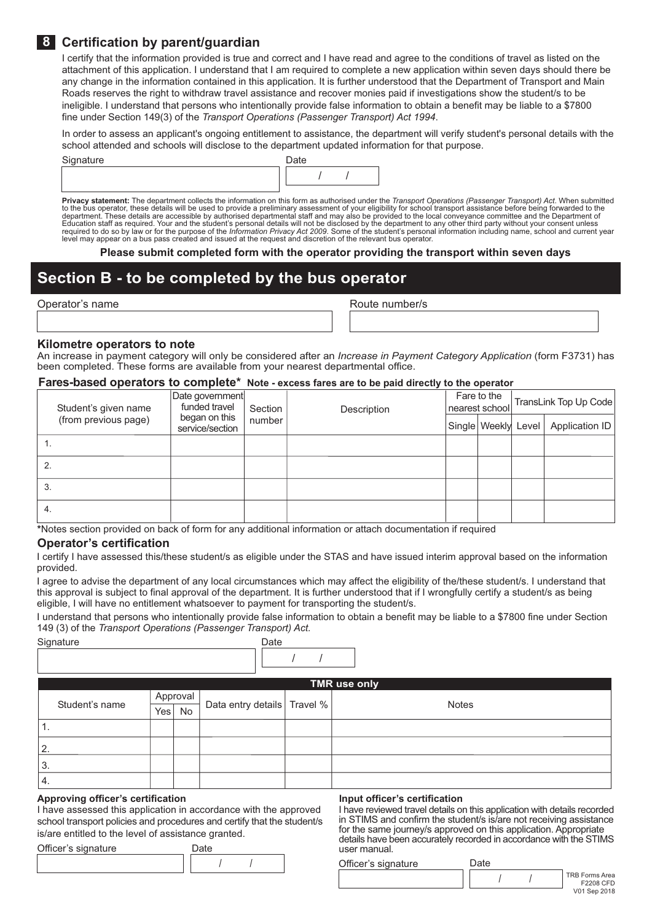### 8 Certification by parent/quardian

I certify that the information provided is true and correct and I have read and agree to the conditions of travel as listed on the attachment of this application. I understand that I am required to complete a new application within seven days should there be any change in the information contained in this application. It is further understood that the Department of Transport and Main Roads reserves the right to withdraw travel assistance and recover monies paid if investigations show the student/s to be ineligible. I understand that persons who intentionally provide false information to obtain a benefit may be liable to a \$7800 fine under Section 149(3) of the Transport Operations (Passenger Transport) Act 1994.

In order to assess an applicant's ongoing entitlement to assistance, the department will verify student's personal details with the school attended and schools will disclose to the department updated information for that purpose.

Signature



Privacy statement: The department collects the information on this form as authorised under the Transport Operations (Passenger Transport) Act. When submitted to the bus operator, these details will be used to provide a pr department. These details are accessible by authorised departmental staff and may also be provided to the local conveyance committee and the Department of Education staff as required. Your and the student's personal detail level may appear on a bus pass created and issued at the request and discretion of the relevant bus operator.

Please submit completed form with the operator providing the transport within seven days

# Section B - to be completed by the bus operator

|  |  |  | Operator's name |  |  |  |
|--|--|--|-----------------|--|--|--|
|--|--|--|-----------------|--|--|--|

Route number/s

#### Kilometre operators to note

An increase in payment category will only be considered after an *Increase in Payment Category Application* (form F3731) has been completed. These forms are available from your nearest departmental office.

### Fares-based operators to complete\* Note - excess fares are to be paid directly to the operator

| Student's given name | Date government<br>funded travel | Section | Description | Fare to the<br>nearest school | TransLink Top Up Code |
|----------------------|----------------------------------|---------|-------------|-------------------------------|-----------------------|
| (from previous page) | began on this<br>service/section | number  |             | Single Weekly Level           | Application ID        |
|                      |                                  |         |             |                               |                       |
|                      |                                  |         |             |                               |                       |
| 3.                   |                                  |         |             |                               |                       |
| 4.                   |                                  |         |             |                               |                       |

\*Notes section provided on back of form for any additional information or attach documentation if required

### **Operator's certification**

I certify I have assessed this/these student/s as eligible under the STAS and have issued interim approval based on the information provided.

I agree to advise the department of any local circumstances which may affect the eligibility of the/these student/s, I understand that this approval is subject to final approval of the department. It is further understood that if I wrongfully certify a student/s as being eligible, I will have no entitlement whatsoever to payment for transporting the student/s.

I understand that persons who intentionally provide false information to obtain a benefit may be liable to a \$7800 fine under Section 149 (3) of the Transport Operations (Passenger Transport) Act.

| Signature      |     |          | Date                          |              |
|----------------|-----|----------|-------------------------------|--------------|
|                |     |          |                               |              |
|                |     |          |                               | TMR use only |
| Student's name |     | Approval | Data entry details   Travel % | Notes        |
|                | Yes | No       |                               |              |
| ι.             |     |          |                               |              |
| 2.             |     |          |                               |              |
| 3.             |     |          |                               |              |
| 4.             |     |          |                               |              |

#### Approving officer's certification

I have assessed this application in accordance with the approved school transport policies and procedures and certify that the student/s is/are entitled to the level of assistance granted.

| Officer's signature | Date |  |
|---------------------|------|--|
|                     |      |  |

#### Input officer's certification

I have reviewed travel details on this application with details recorded in STIMS and confirm the student/s is/are not receiving assistance for the same journey/s approved on this application. Appropriate details have been accurately recorded in accordance with the STIMS user manual.

Officer's signature

Date

 $\overline{1}$ 

 $\prime$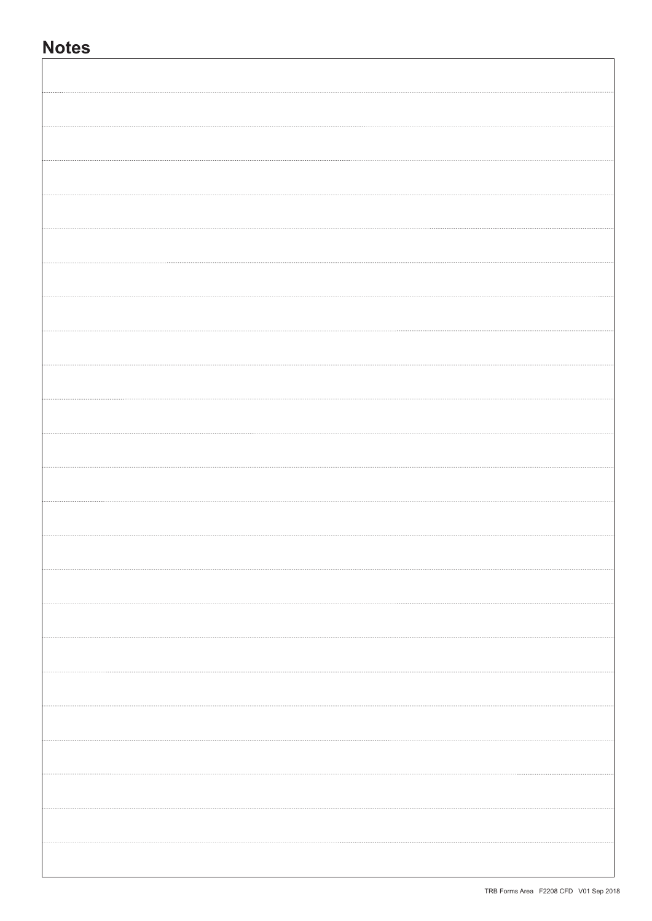# **Notes**

I

| . |  |
|---|--|
|   |  |
|   |  |
|   |  |
|   |  |
| . |  |
| . |  |
| . |  |
| . |  |
|   |  |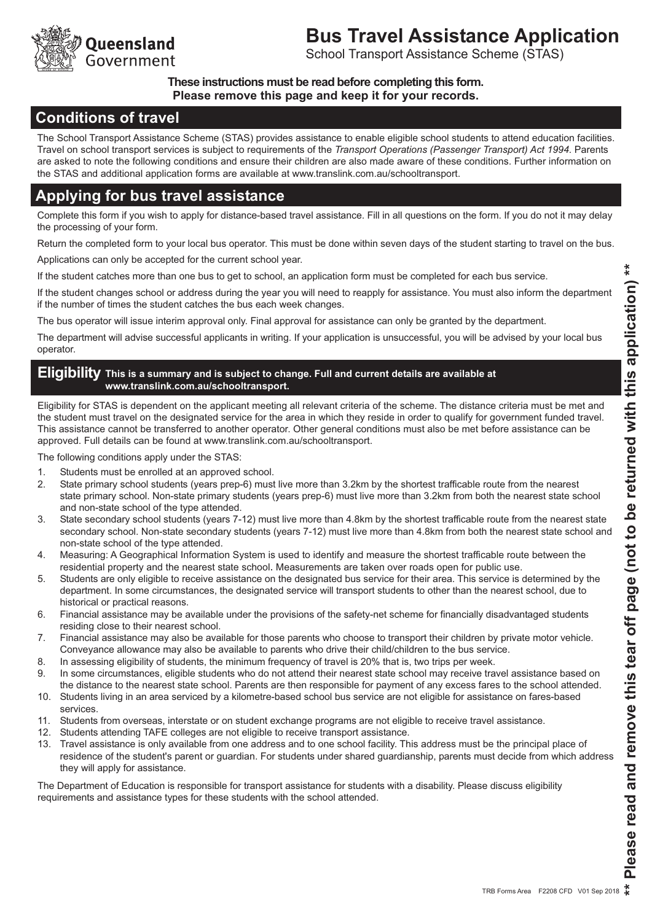

# **Bus Travel Assistance Application**

School Transport Assistance Scheme (STAS)

### These instructions must be read before completing this form. Please remove this page and keep it for your records.

## **Conditions of travel**

The School Transport Assistance Scheme (STAS) provides assistance to enable eligible school students to attend education facilities. Travel on school transport services is subject to requirements of the Transport Operations (Passenger Transport) Act 1994. Parents are asked to note the following conditions and ensure their children are also made aware of these conditions. Further information on the STAS and additional application forms are available at www.translink.com.au/schooltransport.

# Applying for bus travel assistance

Complete this form if you wish to apply for distance-based travel assistance. Fill in all questions on the form. If you do not it may delay the processing of your form.

Return the completed form to your local bus operator. This must be done within seven days of the student starting to travel on the bus.

Applications can only be accepted for the current school year.

If the student catches more than one bus to get to school, an application form must be completed for each bus service.

If the student changes school or address during the year you will need to reapply for assistance. You must also inform the department if the number of times the student catches the bus each week changes.

The bus operator will issue interim approval only. Final approval for assistance can only be granted by the department.

The department will advise successful applicants in writing. If your application is unsuccessful, you will be advised by your local bus operator.

### Eligibility This is a summary and is subject to change. Full and current details are available at www.translink.com.au/schooltransport.

Eligibility for STAS is dependent on the applicant meeting all relevant criteria of the scheme. The distance criteria must be met and the student must travel on the designated service for the area in which they reside in order to qualify for government funded travel. This assistance cannot be transferred to another operator. Other general conditions must also be met before assistance can be approved. Full details can be found at www.translink.com.au/schooltransport.

The following conditions apply under the STAS:

- $1.$ Students must be enrolled at an approved school.
- State primary school students (years prep-6) must live more than 3.2km by the shortest trafficable route from the nearest 2. state primary school. Non-state primary students (years prep-6) must live more than 3.2km from both the nearest state school and non-state school of the type attended.
- State secondary school students (years 7-12) must live more than 4.8km by the shortest trafficable route from the nearest state  $\mathcal{S}$ secondary school. Non-state secondary students (years 7-12) must live more than 4.8km from both the nearest state school and non-state school of the type attended.
- $4.$ Measuring: A Geographical Information System is used to identify and measure the shortest trafficable route between the residential property and the nearest state school. Measurements are taken over roads open for public use.
- Students are only eligible to receive assistance on the designated bus service for their area. This service is determined by the 5. department. In some circumstances, the designated service will transport students to other than the nearest school, due to historical or practical reasons.
- 6. Financial assistance may be available under the provisions of the safety-net scheme for financially disadyantaged students residing close to their nearest school.
- $7.$ Financial assistance may also be available for those parents who choose to transport their children by private motor vehicle. Conveyance allowance may also be available to parents who drive their child/children to the bus service.
- 8. In assessing eligibility of students, the minimum frequency of travel is 20% that is, two trips per week.
- 9. In some circumstances, eligible students who do not attend their nearest state school may receive travel assistance based on the distance to the nearest state school. Parents are then responsible for payment of any excess fares to the school attended.
- $10.$ Students living in an area serviced by a kilometre-based school bus service are not eligible for assistance on fares-based services.
- $11.$ Students from overseas, interstate or on student exchange programs are not eligible to receive travel assistance.
- 12. Students attending TAFE colleges are not eligible to receive transport assistance.
- 13. Travel assistance is only available from one address and to one school facility. This address must be the principal place of residence of the student's parent or guardian. For students under shared guardianship, parents must decide from which address they will apply for assistance.

The Department of Education is responsible for transport assistance for students with a disability. Please discuss eligibility requirements and assistance types for these students with the school attended.